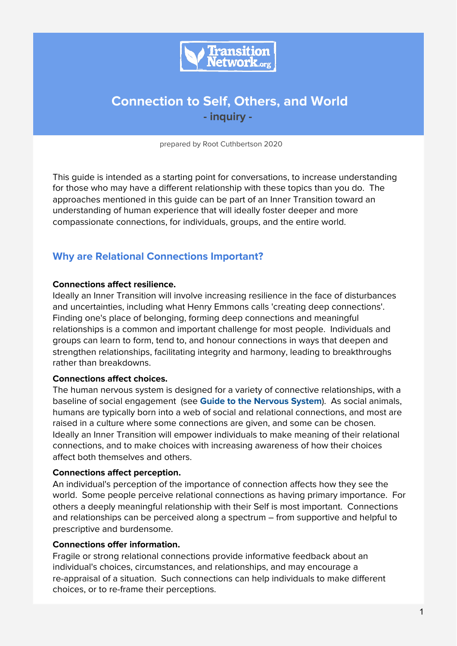

# **Connection to Self, Others, and World - inquiry -**

prepared by Root Cuthbertson 2020

This guide is intended as a starting point for conversations, to increase understanding for those who may have a different relationship with these topics than you do. The approaches mentioned in this guide can be part of an Inner Transition toward an understanding of human experience that will ideally foster deeper and more compassionate connections, for individuals, groups, and the entire world.

## **Why are Relational Connections Important?**

#### **Connections affect resilience.**

Ideally an Inner Transition will involve increasing resilience in the face of disturbances and uncertainties, including what Henry Emmons calls 'creating deep connections'. Finding one's place of belonging, forming deep connections and meaningful relationships is a common and important challenge for most people. Individuals and groups can learn to form, tend to, and honour connections in ways that deepen and strengthen relationships, facilitating integrity and harmony, leading to breakthroughs rather than breakdowns.

#### **Connections affect choices.**

The human nervous system is designed for a variety of connective relationships, with a baseline of social engagement (see **Guide to the Nervous System**). As social animals, humans are typically born into a web of social and relational connections, and most are raised in a culture where some connections are given, and some can be chosen. Ideally an Inner Transition will empower individuals to make meaning of their relational connections, and to make choices with increasing awareness of how their choices affect both themselves and others.

#### **Connections affect perception.**

An individual's perception of the importance of connection affects how they see the world. Some people perceive relational connections as having primary importance. For others a deeply meaningful relationship with their Self is most important. Connections and relationships can be perceived along a spectrum – from supportive and helpful to prescriptive and burdensome.

#### **Connections offer information.**

Fragile or strong relational connections provide informative feedback about an individual's choices, circumstances, and relationships, and may encourage a re-appraisal of a situation. Such connections can help individuals to make different choices, or to re-frame their perceptions.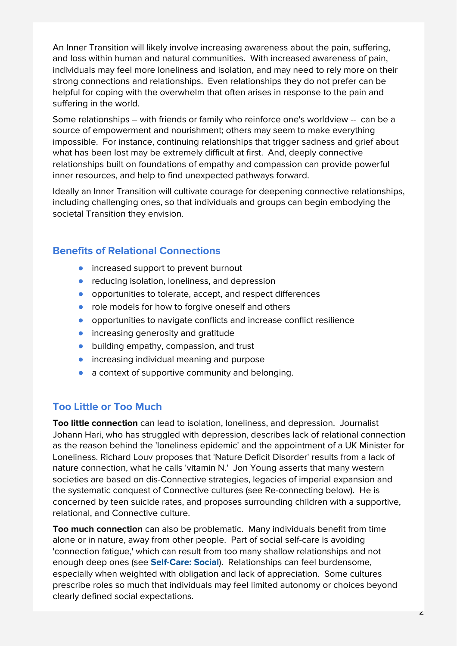An Inner Transition will likely involve increasing awareness about the pain, suffering, and loss within human and natural communities. With increased awareness of pain, individuals may feel more loneliness and isolation, and may need to rely more on their strong connections and relationships. Even relationships they do not prefer can be helpful for coping with the overwhelm that often arises in response to the pain and suffering in the world.

Some relationships – with friends or family who reinforce one's worldview -- can be a source of empowerment and nourishment; others may seem to make everything impossible. For instance, continuing relationships that trigger sadness and grief about what has been lost may be extremely difficult at first. And, deeply connective relationships built on foundations of empathy and compassion can provide powerful inner resources, and help to find unexpected pathways forward.

Ideally an Inner Transition will cultivate courage for deepening connective relationships, including challenging ones, so that individuals and groups can begin embodying the societal Transition they envision.

## **Benefits of Relational Connections**

- increased support to prevent burnout
- reducing isolation, loneliness, and depression
- opportunities to tolerate, accept, and respect differences
- role models for how to forgive oneself and others
- opportunities to navigate conflicts and increase conflict resilience
- **•** increasing generosity and gratitude
- building empathy, compassion, and trust
- increasing individual meaning and purpose
- a context of supportive community and belonging.

### **Too Little or Too Much**

**Too little connection** can lead to isolation, loneliness, and depression. Journalist Johann Hari, who has struggled with depression, describes lack of relational connection as the reason behind the 'loneliness epidemic' and the appointment of a UK Minister for Loneliness. Richard Louv proposes that 'Nature Deficit Disorder' results from a lack of nature connection, what he calls 'vitamin N.' Jon Young asserts that many western societies are based on dis-Connective strategies, legacies of imperial expansion and the systematic conquest of Connective cultures (see Re-connecting below). He is concerned by teen suicide rates, and proposes surrounding children with a supportive, relational, and Connective culture.

**Too much connection** can also be problematic. Many individuals benefit from time alone or in nature, away from other people. Part of social self-care is avoiding 'connection fatigue,' which can result from too many shallow relationships and not enough deep ones (see **Self-Care: Social**). Relationships can feel burdensome, especially when weighted with obligation and lack of appreciation. Some cultures prescribe roles so much that individuals may feel limited autonomy or choices beyond clearly defined social expectations.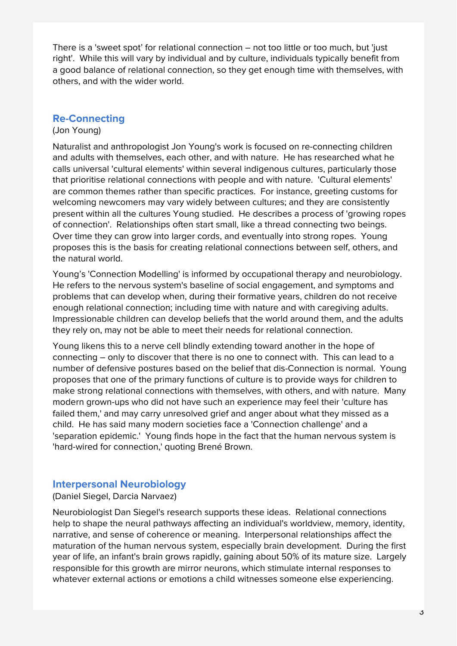There is a 'sweet spot' for relational connection – not too little or too much, but 'just right'. While this will vary by individual and by culture, individuals typically benefit from a good balance of relational connection, so they get enough time with themselves, with others, and with the wider world.

### **Re-Connecting**

#### (Jon Young)

Naturalist and anthropologist Jon Young's work is focused on re-connecting children and adults with themselves, each other, and with nature. He has researched what he calls universal 'cultural elements' within several indigenous cultures, particularly those that prioritise relational connections with people and with nature. 'Cultural elements' are common themes rather than specific practices. For instance, greeting customs for welcoming newcomers may vary widely between cultures; and they are consistently present within all the cultures Young studied. He describes a process of 'growing ropes of connection'. Relationships often start small, like a thread connecting two beings. Over time they can grow into larger cords, and eventually into strong ropes. Young proposes this is the basis for creating relational connections between self, others, and the natural world.

Young's 'Connection Modelling' is informed by occupational therapy and neurobiology. He refers to the nervous system's baseline of social engagement, and symptoms and problems that can develop when, during their formative years, children do not receive enough relational connection; including time with nature and with caregiving adults. Impressionable children can develop beliefs that the world around them, and the adults they rely on, may not be able to meet their needs for relational connection.

Young likens this to a nerve cell blindly extending toward another in the hope of connecting – only to discover that there is no one to connect with. This can lead to a number of defensive postures based on the belief that dis-Connection is normal. Young proposes that one of the primary functions of culture is to provide ways for children to make strong relational connections with themselves, with others, and with nature. Many modern grown-ups who did not have such an experience may feel their 'culture has failed them,' and may carry unresolved grief and anger about what they missed as a child. He has said many modern societies face a 'Connection challenge' and a 'separation epidemic.' Young finds hope in the fact that the human nervous system is 'hard-wired for connection,' quoting Brené Brown.

### **Interpersonal Neurobiology**

#### (Daniel Siegel, Darcia Narvaez)

Neurobiologist Dan Siegel's research supports these ideas. Relational connections help to shape the neural pathways affecting an individual's worldview, memory, identity, narrative, and sense of coherence or meaning. Interpersonal relationships affect the maturation of the human nervous system, especially brain development. During the first year of life, an infant's brain grows rapidly, gaining about 50% of its mature size. Largely responsible for this growth are mirror neurons, which stimulate internal responses to whatever external actions or emotions a child witnesses someone else experiencing.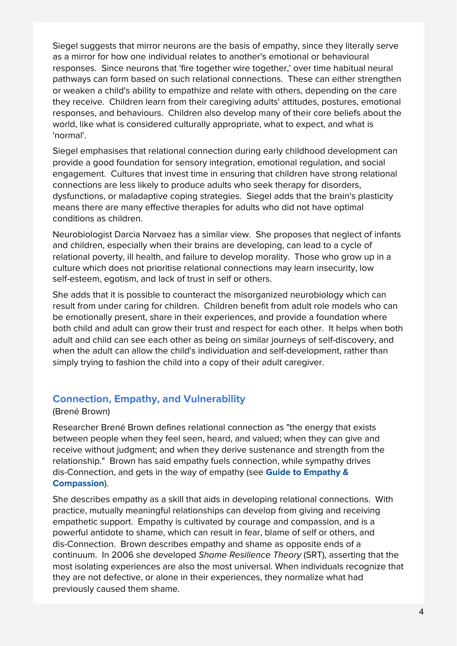Siegel suggests that mirror neurons are the basis of empathy, since they literally serve as a mirror for how one individual relates to another's emotional or behavioural responses. Since neurons that 'fire together wire together,' over time habitual neural pathways can form based on such relational connections. These can either strengthen or weaken a child's ability to empathize and relate with others, depending on the care they receive. Children learn from their caregiving adults' attitudes, postures, emotional responses, and behaviours. Children also develop many of their core beliefs about the world, like what is considered culturally appropriate, what to expect, and what is 'normal'.

Siegel emphasises that relational connection during early childhood development can provide a good foundation for sensory integration, emotional regulation, and social engagement. Cultures that invest time in ensuring that children have strong relational connections are less likely to produce adults who seek therapy for disorders, dysfunctions, or maladaptive coping strategies. Siegel adds that the brain's plasticity means there are many effective therapies for adults who did not have optimal conditions as children.

Neurobiologist Darcia Narvaez has a similar view. She proposes that neglect of infants and children, especially when their brains are developing, can lead to a cycle of relational poverty, ill health, and failure to develop morality. Those who grow up in a culture which does not prioritise relational connections may learn insecurity, low self-esteem, egotism, and lack of trust in self or others.

She adds that it is possible to counteract the misorganized neurobiology which can result from under caring for children. Children benefit from adult role models who can be emotionally present, share in their experiences, and provide a foundation where both child and adult can grow their trust and respect for each other. It helps when both adult and child can see each other as being on similar journeys of self-discovery, and when the adult can allow the child's individuation and self-development, rather than simply trying to fashion the child into a copy of their adult caregiver.

### **Connection, Empathy, and Vulnerability**

#### (Brené Brown)

Researcher Brené Brown defines relational connection as "the energy that exists between people when they feel seen, heard, and valued; when they can give and receive without judgment; and when they derive sustenance and strength from the relationship." Brown has said empathy fuels connection, while sympathy drives dis-Connection, and gets in the way of empathy (see **Guide to Empathy & Compassion**).

She describes empathy as a skill that aids in developing relational connections. With practice, mutually meaningful relationships can develop from giving and receiving empathetic support. Empathy is cultivated by courage and compassion, and is a powerful antidote to shame, which can result in fear, blame of self or others, and dis-Connection. Brown describes empathy and shame as opposite ends of a continuum. In 2006 she developed Shame Resilience Theory (SRT), asserting that the most isolating experiences are also the most universal. When individuals recognize that they are not defective, or alone in their experiences, they normalize what had previously caused them shame.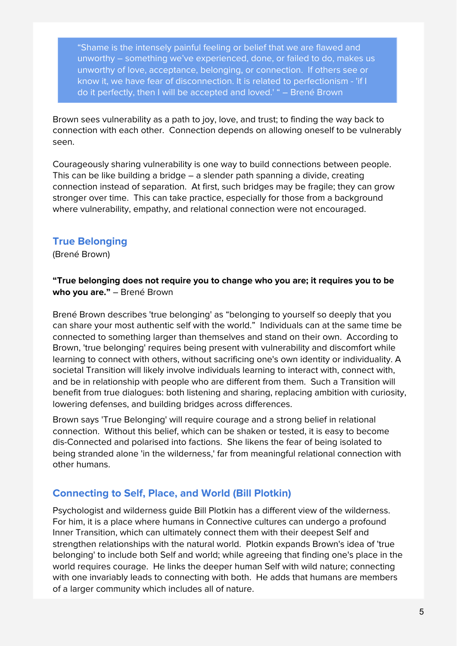"Shame is the intensely painful feeling or belief that we are flawed and unworthy – something we've experienced, done, or failed to do, makes us unworthy of love, acceptance, belonging, or connection. If others see or know it, we have fear of disconnection. It is related to perfectionism - 'if I do it perfectly, then I will be accepted and loved.' " – Brené Brown

Brown sees vulnerability as a path to joy, love, and trust; to finding the way back to connection with each other. Connection depends on allowing oneself to be vulnerably seen.

Courageously sharing vulnerability is one way to build connections between people. This can be like building a bridge – a slender path spanning a divide, creating connection instead of separation. At first, such bridges may be fragile; they can grow stronger over time. This can take practice, especially for those from a background where vulnerability, empathy, and relational connection were not encouraged.

### **True Belonging**

(Brené Brown)

#### **"True belonging does not require you to change who you are; it requires you to be who you are."** – Brené Brown

Brené Brown describes 'true belonging' as "belonging to yourself so deeply that you can share your most authentic self with the world." Individuals can at the same time be connected to something larger than themselves and stand on their own. According to Brown, 'true belonging' requires being present with vulnerability and discomfort while learning to connect with others, without sacrificing one's own identity or individuality. A societal Transition will likely involve individuals learning to interact with, connect with, and be in relationship with people who are different from them. Such a Transition will benefit from true dialogues: both listening and sharing, replacing ambition with curiosity, lowering defenses, and building bridges across differences.

Brown says 'True Belonging' will require courage and a strong belief in relational connection. Without this belief, which can be shaken or tested, it is easy to become dis-Connected and polarised into factions. She likens the fear of being isolated to being stranded alone 'in the wilderness,' far from meaningful relational connection with other humans.

## **Connecting to Self, Place, and World (Bill Plotkin)**

Psychologist and wilderness guide Bill Plotkin has a different view of the wilderness. For him, it is a place where humans in Connective cultures can undergo a profound Inner Transition, which can ultimately connect them with their deepest Self and strengthen relationships with the natural world. Plotkin expands Brown's idea of 'true belonging' to include both Self and world; while agreeing that finding one's place in the world requires courage. He links the deeper human Self with wild nature; connecting with one invariably leads to connecting with both. He adds that humans are members of a larger community which includes all of nature.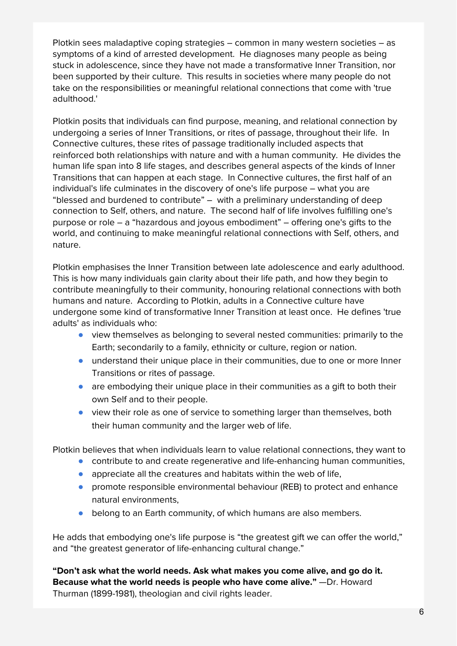Plotkin sees maladaptive coping strategies – common in many western societies – as symptoms of a kind of arrested development. He diagnoses many people as being stuck in adolescence, since they have not made a transformative Inner Transition, nor been supported by their culture. This results in societies where many people do not take on the responsibilities or meaningful relational connections that come with 'true adulthood.'

Plotkin posits that individuals can find purpose, meaning, and relational connection by undergoing a series of Inner Transitions, or rites of passage, throughout their life. In Connective cultures, these rites of passage traditionally included aspects that reinforced both relationships with nature and with a human community. He divides the human life span into 8 life stages, and describes general aspects of the kinds of Inner Transitions that can happen at each stage. In Connective cultures, the first half of an individual's life culminates in the discovery of one's life purpose – what you are "blessed and burdened to contribute" – with a preliminary understanding of deep connection to Self, others, and nature. The second half of life involves fulfilling one's purpose or role – a "hazardous and joyous embodiment" – offering one's gifts to the world, and continuing to make meaningful relational connections with Self, others, and nature.

Plotkin emphasises the Inner Transition between late adolescence and early adulthood. This is how many individuals gain clarity about their life path, and how they begin to contribute meaningfully to their community, honouring relational connections with both humans and nature. According to Plotkin, adults in a Connective culture have undergone some kind of transformative Inner Transition at least once. He defines 'true adults' as individuals who:

- view themselves as belonging to several nested communities: primarily to the Earth; secondarily to a family, ethnicity or culture, region or nation.
- understand their unique place in their communities, due to one or more Inner Transitions or rites of passage.
- are embodying their unique place in their communities as a gift to both their own Self and to their people.
- view their role as one of service to something larger than themselves, both their human community and the larger web of life.

Plotkin believes that when individuals learn to value relational connections, they want to

- contribute to and create regenerative and life-enhancing human communities,
- appreciate all the creatures and habitats within the web of life,
- promote responsible environmental behaviour (REB) to protect and enhance natural environments,
- belong to an Earth community, of which humans are also members.

He adds that embodying one's life purpose is "the greatest gift we can offer the world," and "the greatest generator of life-enhancing cultural change."

**"Don't ask what the world needs. Ask what makes you come alive, and go do it. Because what the world needs is people who have come alive."** —Dr. Howard Thurman (1899-1981), theologian and civil rights leader.